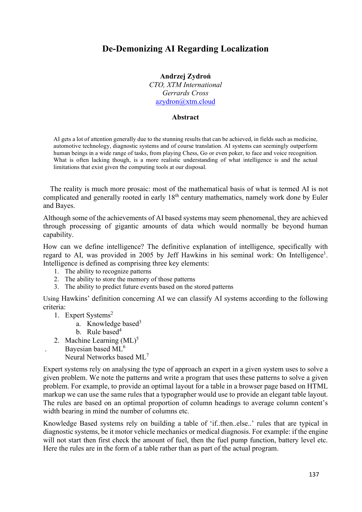# **De-Demonizing AI Regarding Localization**

#### **Andrzej Zydroń** *CTO, XTM International*

*Gerrards Cross* azydron@xtm.cloud

### **Abstract**

AI gets a lot of attention generally due to the stunning results that can be achieved, in fields such as medicine, automotive technology, diagnostic systems and of course translation. AI systems can seemingly outperform human beings in a wide range of tasks, from playing Chess, Go or even poker, to face and voice recognition. What is often lacking though, is a more realistic understanding of what intelligence is and the actual limitations that exist given the computing tools at our disposal.

The reality is much more prosaic: most of the mathematical basis of what is termed AI is not complicated and generally rooted in early 18<sup>th</sup> century mathematics, namely work done by Euler and Bayes.

Although some of the achievements of AI based systems may seem phenomenal, they are achieved through processing of gigantic amounts of data which would normally be beyond human capability.

How can we define intelligence? The definitive explanation of intelligence, specifically with regard to AI, was provided in 2005 by Jeff Hawkins in his seminal work: On Intelligence<sup>1</sup>. Intelligence is defined as comprising three key elements:

- 1. The ability to recognize patterns
- 2. The ability to store the memory of those patterns
- 3. The ability to predict future events based on the stored patterns

Using Hawkins' definition concerning AI we can classify AI systems according to the following criteria:

- 1. Expert Systems<sup>2</sup>
	- a. Knowledge based $3$
	- b. Rule based<sup>4</sup>
- 2. Machine Learning  $(ML)^5$
- Bayesian based ML<sup>6</sup> Neural Networks based ML<sup>7</sup>

Expert systems rely on analysing the type of approach an expert in a given system uses to solve a given problem. We note the patterns and write a program that uses these patterns to solve a given problem. For example, to provide an optimal layout for a table in a browser page based on HTML markup we can use the same rules that a typographer would use to provide an elegant table layout. The rules are based on an optimal proportion of column headings to average column content's width bearing in mind the number of columns etc.

Knowledge Based systems rely on building a table of 'if..then..else..' rules that are typical in diagnostic systems, be it motor vehicle mechanics or medical diagnosis. For example: if the engine will not start then first check the amount of fuel, then the fuel pump function, battery level etc. Here the rules are in the form of a table rather than as part of the actual program.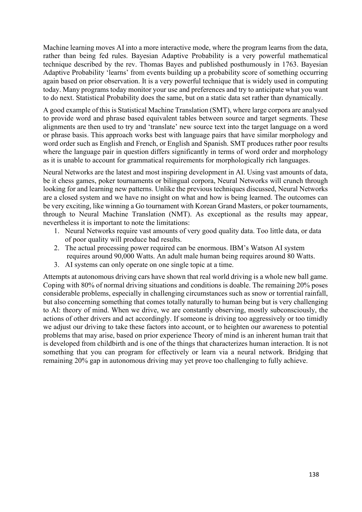Machine learning moves AI into a more interactive mode, where the program learns from the data, rather than being fed rules. Bayesian Adaptive Probability is a very powerful mathematical technique described by the rev. Thomas Bayes and published posthumously in 1763. Bayesian Adaptive Probability 'learns' from events building up a probability score of something occurring again based on prior observation. It is a very powerful technique that is widely used in computing today. Many programs today monitor your use and preferences and try to anticipate what you want to do next. Statistical Probability does the same, but on a static data set rather than dynamically.

A good example of this is Statistical Machine Translation (SMT), where large corpora are analysed to provide word and phrase based equivalent tables between source and target segments. These alignments are then used to try and 'translate' new source text into the target language on a word or phrase basis. This approach works best with language pairs that have similar morphology and word order such as English and French, or English and Spanish. SMT produces rather poor results where the language pair in question differs significantly in terms of word order and morphology as it is unable to account for grammatical requirements for morphologically rich languages.

Neural Networks are the latest and most inspiring development in AI. Using vast amounts of data, be it chess games, poker tournaments or bilingual corpora, Neural Networks will crunch through looking for and learning new patterns. Unlike the previous techniques discussed, Neural Networks are a closed system and we have no insight on what and how is being learned. The outcomes can be very exciting, like winning a Go tournament with Korean Grand Masters, or poker tournaments, through to Neural Machine Translation (NMT). As exceptional as the results may appear, nevertheless it is important to note the limitations:

- 1. Neural Networks require vast amounts of very good quality data. Too little data, or data of poor quality will produce bad results.
- 2. The actual processing power required can be enormous. IBM's Watson AI system requires around 90,000 Watts. An adult male human being requires around 80 Watts.
- 3. AI systems can only operate on one single topic at a time.

Attempts at autonomous driving cars have shown that real world driving is a whole new ball game. Coping with 80% of normal driving situations and conditions is doable. The remaining 20% poses considerable problems, especially in challenging circumstances such as snow or torrential rainfall, but also concerning something that comes totally naturally to human being but is very challenging to AI: theory of mind. When we drive, we are constantly observing, mostly subconsciously, the actions of other drivers and act accordingly. If someone is driving too aggressively or too timidly we adjust our driving to take these factors into account, or to heighten our awareness to potential problems that may arise, based on prior experience Theory of mind is an inherent human trait that is developed from childbirth and is one of the things that characterizes human interaction. It is not something that you can program for effectively or learn via a neural network. Bridging that remaining 20% gap in autonomous driving may yet prove too challenging to fully achieve.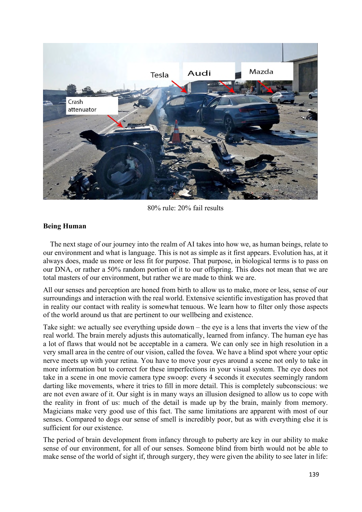

80% rule: 20% fail results

# **Being Human**

The next stage of our journey into the realm of AI takes into how we, as human beings, relate to our environment and what is language. This is not as simple as it first appears. Evolution has, at it always does, made us more or less fit for purpose. That purpose, in biological terms is to pass on our DNA, or rather a 50% random portion of it to our offspring. This does not mean that we are total masters of our environment, but rather we are made to think we are.

All our senses and perception are honed from birth to allow us to make, more or less, sense of our surroundings and interaction with the real world. Extensive scientific investigation has proved that in reality our contact with reality is somewhat tenuous. We learn how to filter only those aspects of the world around us that are pertinent to our wellbeing and existence.

Take sight: we actually see everything upside down – the eye is a lens that inverts the view of the real world. The brain merely adjusts this automatically, learned from infancy. The human eye has a lot of flaws that would not be acceptable in a camera. We can only see in high resolution in a very small area in the centre of our vision, called the fovea. We have a blind spot where your optic nerve meets up with your retina. You have to move your eyes around a scene not only to take in more information but to correct for these imperfections in your visual system. The eye does not take in a scene in one movie camera type swoop: every 4 seconds it executes seemingly random darting like movements, where it tries to fill in more detail. This is completely subconscious: we are not even aware of it. Our sight is in many ways an illusion designed to allow us to cope with the reality in front of us: much of the detail is made up by the brain, mainly from memory. Magicians make very good use of this fact. The same limitations are apparent with most of our senses. Compared to dogs our sense of smell is incredibly poor, but as with everything else it is sufficient for our existence.

The period of brain development from infancy through to puberty are key in our ability to make sense of our environment, for all of our senses. Someone blind from birth would not be able to make sense of the world of sight if, through surgery, they were given the ability to see later in life: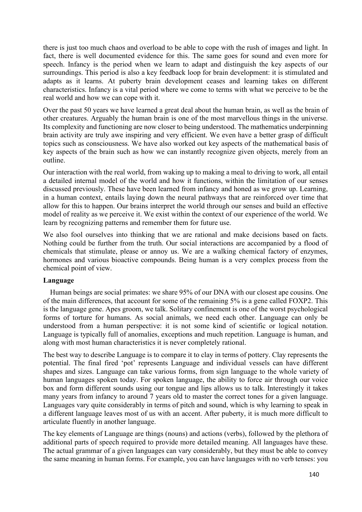there is just too much chaos and overload to be able to cope with the rush of images and light. In fact, there is well documented evidence for this. The same goes for sound and even more for speech. Infancy is the period when we learn to adapt and distinguish the key aspects of our surroundings. This period is also a key feedback loop for brain development: it is stimulated and adapts as it learns. At puberty brain development ceases and learning takes on different characteristics. Infancy is a vital period where we come to terms with what we perceive to be the real world and how we can cope with it.

Over the past 50 years we have learned a great deal about the human brain, as well as the brain of other creatures. Arguably the human brain is one of the most marvellous things in the universe. Its complexity and functioning are now closer to being understood. The mathematics underpinning brain activity are truly awe inspiring and very efficient. We even have a better grasp of difficult topics such as consciousness. We have also worked out key aspects of the mathematical basis of key aspects of the brain such as how we can instantly recognize given objects, merely from an outline.

Our interaction with the real world, from waking up to making a meal to driving to work, all entail a detailed internal model of the world and how it functions, within the limitation of our senses discussed previously. These have been learned from infancy and honed as we grow up. Learning, in a human context, entails laying down the neural pathways that are reinforced over time that allow for this to happen. Our brains interpret the world through our senses and build an effective model of reality as we perceive it. We exist within the context of our experience of the world. We learn by recognizing patterns and remember them for future use.

We also fool ourselves into thinking that we are rational and make decisions based on facts. Nothing could be further from the truth. Our social interactions are accompanied by a flood of chemicals that stimulate, please or annoy us. We are a walking chemical factory of enzymes, hormones and various bioactive compounds. Being human is a very complex process from the chemical point of view.

# **Language**

Human beings are social primates: we share 95% of our DNA with our closest ape cousins. One of the main differences, that account for some of the remaining 5% is a gene called FOXP2. This is the language gene. Apes groom, we talk. Solitary confinement is one of the worst psychological forms of torture for humans. As social animals, we need each other. Language can only be understood from a human perspective: it is not some kind of scientific or logical notation. Language is typically full of anomalies, exceptions and much repetition. Language is human, and along with most human characteristics it is never completely rational.

The best way to describe Language is to compare it to clay in terms of pottery. Clay represents the potential. The final fired 'pot' represents Language and individual vessels can have different shapes and sizes. Language can take various forms, from sign language to the whole variety of human languages spoken today. For spoken language, the ability to force air through our voice box and form different sounds using our tongue and lips allows us to talk. Interestingly it takes many years from infancy to around 7 years old to master the correct tones for a given language. Languages vary quite considerably in terms of pitch and sound, which is why learning to speak in a different language leaves most of us with an accent. After puberty, it is much more difficult to articulate fluently in another language.

The key elements of Language are things (nouns) and actions (verbs), followed by the plethora of additional parts of speech required to provide more detailed meaning. All languages have these. The actual grammar of a given languages can vary considerably, but they must be able to convey the same meaning in human forms. For example, you can have languages with no verb tenses: you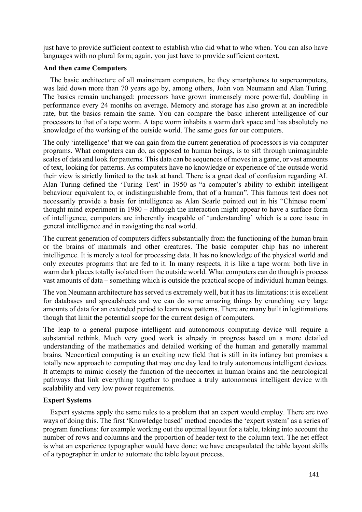just have to provide sufficient context to establish who did what to who when. You can also have languages with no plural form; again, you just have to provide sufficient context.

# **And then came Computers**

The basic architecture of all mainstream computers, be they smartphones to supercomputers, was laid down more than 70 years ago by, among others, John von Neumann and Alan Turing. The basics remain unchanged: processors have grown immensely more powerful, doubling in performance every 24 months on average. Memory and storage has also grown at an incredible rate, but the basics remain the same. You can compare the basic inherent intelligence of our processors to that of a tape worm. A tape worm inhabits a warm dark space and has absolutely no knowledge of the working of the outside world. The same goes for our computers.

The only 'intelligence' that we can gain from the current generation of processors is via computer programs. What computers can do, as opposed to human beings, is to sift through unimaginable scales of data and look for patterns. This data can be sequences of moves in a game, or vast amounts of text, looking for patterns. As computers have no knowledge or experience of the outside world their view is strictly limited to the task at hand. There is a great deal of confusion regarding AI. Alan Turing defined the 'Turing Test' in 1950 as "a computer's ability to exhibit intelligent behaviour equivalent to, or indistinguishable from, that of a human". This famous test does not necessarily provide a basis for intelligence as Alan Searle pointed out in his "Chinese room' thought mind experiment in 1980 – although the interaction might appear to have a surface form of intelligence, computers are inherently incapable of 'understanding' which is a core issue in general intelligence and in navigating the real world.

The current generation of computers differs substantially from the functioning of the human brain or the brains of mammals and other creatures. The basic computer chip has no inherent intelligence. It is merely a tool for processing data. It has no knowledge of the physical world and only executes programs that are fed to it. In many respects, it is like a tape worm: both live in warm dark places totally isolated from the outside world. What computers can do though is process vast amounts of data – something which is outside the practical scope of individual human beings.

The von Neumann architecture has served us extremely well, but it has its limitations: it is excellent for databases and spreadsheets and we can do some amazing things by crunching very large amounts of data for an extended period to learn new patterns. There are many built in legitimations though that limit the potential scope for the current design of computers.

The leap to a general purpose intelligent and autonomous computing device will require a substantial rethink. Much very good work is already in progress based on a more detailed understanding of the mathematics and detailed working of the human and generally mammal brains. Neocortical computing is an exciting new field that is still in its infancy but promises a totally new approach to computing that may one day lead to truly autonomous intelligent devices. It attempts to mimic closely the function of the neocortex in human brains and the neurological pathways that link everything together to produce a truly autonomous intelligent device with scalability and very low power requirements.

# **Expert Systems**

Expert systems apply the same rules to a problem that an expert would employ. There are two ways of doing this. The first 'Knowledge based' method encodes the 'expert system' as a series of program functions: for example working out the optimal layout for a table, taking into account the number of rows and columns and the proportion of header text to the column text. The net effect is what an experience typographer would have done: we have encapsulated the table layout skills of a typographer in order to automate the table layout process.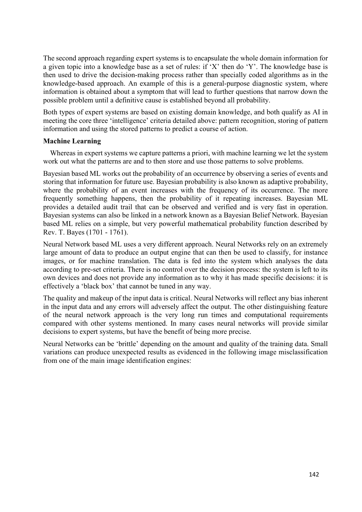The second approach regarding expert systems is to encapsulate the whole domain information for a given topic into a knowledge base as a set of rules: if 'X' then do 'Y'. The knowledge base is then used to drive the decision-making process rather than specially coded algorithms as in the knowledge-based approach. An example of this is a general-purpose diagnostic system, where information is obtained about a symptom that will lead to further questions that narrow down the possible problem until a definitive cause is established beyond all probability.

Both types of expert systems are based on existing domain knowledge, and both qualify as AI in meeting the core three 'intelligence' criteria detailed above: pattern recognition, storing of pattern information and using the stored patterns to predict a course of action.

# **Machine Learning**

Whereas in expert systems we capture patterns a priori, with machine learning we let the system work out what the patterns are and to then store and use those patterns to solve problems.

Bayesian based ML works out the probability of an occurrence by observing a series of events and storing that information for future use. Bayesian probability is also known as adaptive probability, where the probability of an event increases with the frequency of its occurrence. The more frequently something happens, then the probability of it repeating increases. Bayesian ML provides a detailed audit trail that can be observed and verified and is very fast in operation. Bayesian systems can also be linked in a network known as a Bayesian Belief Network. Bayesian based ML relies on a simple, but very powerful mathematical probability function described by Rev. T. Bayes (1701 - 1761).

Neural Network based ML uses a very different approach. Neural Networks rely on an extremely large amount of data to produce an output engine that can then be used to classify, for instance images, or for machine translation. The data is fed into the system which analyses the data according to pre-set criteria. There is no control over the decision process: the system is left to its own devices and does not provide any information as to why it has made specific decisions: it is effectively a 'black box' that cannot be tuned in any way.

The quality and makeup of the input data is critical. Neural Networks will reflect any bias inherent in the input data and any errors will adversely affect the output. The other distinguishing feature of the neural network approach is the very long run times and computational requirements compared with other systems mentioned. In many cases neural networks will provide similar decisions to expert systems, but have the benefit of being more precise.

Neural Networks can be 'brittle' depending on the amount and quality of the training data. Small variations can produce unexpected results as evidenced in the following image misclassification from one of the main image identification engines: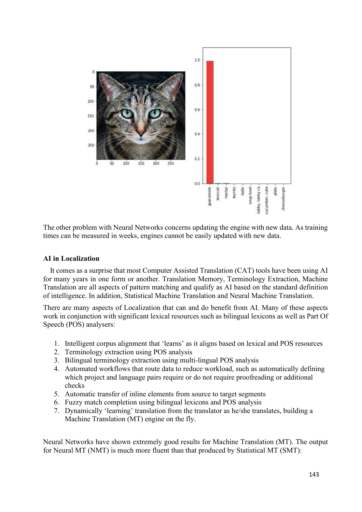

The other problem with Neural Networks concerns updating the engine with new data. As training times can be measured in weeks, engines cannot be easily updated with new data.

### **AI in Localization**

It comes as a surprise that most Computer Assisted Translation (CAT) tools have been using AI for many years in one form or another. Translation Memory, Terminology Extraction, Machine Translation are all aspects of pattern matching and qualify as AI based on the standard definition of intelligence. In addition, Statistical Machine Translation and Neural Machine Translation.

There are many aspects of Localization that can and do benefit from AI. Many of these aspects work in conjunction with significant lexical resources such as bilingual lexicons as well as Part Of Speech (POS) analysers:

- 1. Intelligent corpus alignment that 'learns' as it aligns based on lexical and POS resources
- 2. Terminology extraction using POS analysis
- 3. Bilingual terminology extraction using multi-lingual POS analysis
- 4. Automated workflows that route data to reduce workload, such as automatically defining which project and language pairs require or do not require proofreading or additional checks
- 5. Automatic transfer of inline elements from source to target segments
- 6. Fuzzy match completion using bilingual lexicons and POS analysis
- 7. Dynamically 'learning' translation from the translator as he/she translates, building a Machine Translation (MT) engine on the fly.

Neural Networks have shown extremely good results for Machine Translation (MT). The output for Neural MT (NMT) is much more fluent than that produced by Statistical MT (SMT):